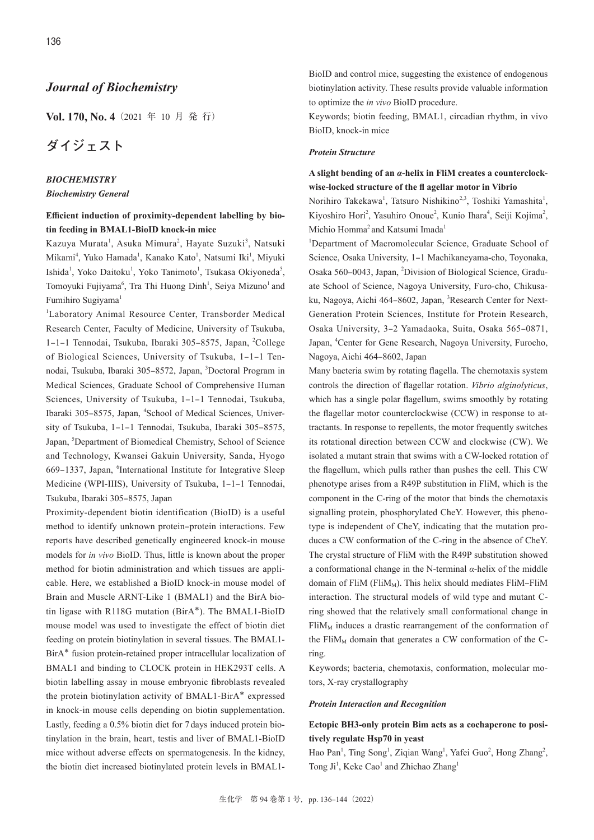# *Journal of Biochemistry*

**Vol. 170, No. 4**(2021 年 10 月 発 行)

# **ダイジェスト**

### *BIOCHEMISTRY*

### *Biochemistry General*

# **Efficient induction of proximity-dependent labelling by biotin feeding in BMAL1-BioID knock-in mice**

Kazuya Murata<sup>1</sup>, Asuka Mimura<sup>2</sup>, Hayate Suzuki<sup>3</sup>, Natsuki Mikami<sup>4</sup>, Yuko Hamada<sup>1</sup>, Kanako Kato<sup>1</sup>, Natsumi Iki<sup>1</sup>, Miyuki Ishida<sup>1</sup>, Yoko Daitoku<sup>1</sup>, Yoko Tanimoto<sup>1</sup>, Tsukasa Okiyoneda<sup>5</sup>, Tomoyuki Fujiyama<sup>6</sup>, Tra Thi Huong Dinh<sup>1</sup>, Seiya Mizuno<sup>1</sup> and Fumihiro Sugiyama<sup>1</sup>

1 Laboratory Animal Resource Center, Transborder Medical Research Center, Faculty of Medicine, University of Tsukuba, 1-1-1 Tennodai, Tsukuba, Ibaraki 305-8575, Japan, <sup>2</sup>College of Biological Sciences, University of Tsukuba, 1-1-1 Tennodai, Tsukuba, Ibaraki 305-8572, Japan, <sup>3</sup>Doctoral Program in Medical Sciences, Graduate School of Comprehensive Human Sciences, University of Tsukuba, 1-1-1 Tennodai, Tsukuba, Ibaraki 305-8575, Japan, <sup>4</sup>School of Medical Sciences, University of Tsukuba, 1-1-1 Tennodai, Tsukuba, Ibaraki 305-8575, Japan, <sup>5</sup>Department of Biomedical Chemistry, School of Science and Technology, Kwansei Gakuin University, Sanda, Hyogo 669-1337, Japan, <sup>6</sup>International Institute for Integrative Sleep Medicine (WPI-IIIS), University of Tsukuba, 1-1-1 Tennodai, Tsukuba, Ibaraki 305‒8575, Japan

Proximity-dependent biotin identification (BioID) is a useful method to identify unknown protein-protein interactions. Few reports have described genetically engineered knock-in mouse models for *in vivo* BioID. Thus, little is known about the proper method for biotin administration and which tissues are applicable. Here, we established a BioID knock-in mouse model of Brain and Muscle ARNT-Like 1 (BMAL1) and the BirA biotin ligase with R118G mutation (BirA\*). The BMAL1-BioID mouse model was used to investigate the effect of biotin diet feeding on protein biotinylation in several tissues. The BMAL1- BirA\* fusion protein-retained proper intracellular localization of BMAL1 and binding to CLOCK protein in HEK293T cells. A biotin labelling assay in mouse embryonic fibroblasts revealed the protein biotinylation activity of BMAL1-BirA\* expressed in knock-in mouse cells depending on biotin supplementation. Lastly, feeding a 0.5% biotin diet for 7 days induced protein biotinylation in the brain, heart, testis and liver of BMAL1-BioID mice without adverse effects on spermatogenesis. In the kidney, the biotin diet increased biotinylated protein levels in BMAL1BioID and control mice, suggesting the existence of endogenous biotinylation activity. These results provide valuable information to optimize the *in vivo* BioID procedure.

Keywords; biotin feeding, BMAL1, circadian rhythm, in vivo BioID, knock-in mice

#### *Protein Structure*

### **A slight bending of an** *α***-helix in FliM creates a counterclockwise-locked structure of the fl agellar motor in Vibrio**

Norihiro Takekawa<sup>1</sup>, Tatsuro Nishikino<sup>2,3</sup>, Toshiki Yamashita<sup>1</sup>, Kiyoshiro Hori<sup>2</sup>, Yasuhiro Onoue<sup>2</sup>, Kunio Ihara<sup>4</sup>, Seiji Kojima<sup>2</sup>, Michio Homma<sup>2</sup> and Katsumi Imada<sup>1</sup>

<sup>1</sup>Department of Macromolecular Science, Graduate School of Science, Osaka University, 1-1 Machikaneyama-cho, Toyonaka, Osaka 560-0043, Japan, <sup>2</sup>Division of Biological Science, Graduate School of Science, Nagoya University, Furo-cho, Chikusaku, Nagoya, Aichi 464-8602, Japan, <sup>3</sup>Research Center for Next-Generation Protein Sciences, Institute for Protein Research, Osaka University, 3‒2 Yamadaoka, Suita, Osaka 565‒0871, Japan, <sup>4</sup>Center for Gene Research, Nagoya University, Furocho, Nagoya, Aichi 464‒8602, Japan

Many bacteria swim by rotating flagella. The chemotaxis system controls the direction of flagellar rotation. *Vibrio alginolyticus*, which has a single polar flagellum, swims smoothly by rotating the flagellar motor counterclockwise (CCW) in response to attractants. In response to repellents, the motor frequently switches its rotational direction between CCW and clockwise (CW). We isolated a mutant strain that swims with a CW-locked rotation of the flagellum, which pulls rather than pushes the cell. This CW phenotype arises from a R49P substitution in FliM, which is the component in the C-ring of the motor that binds the chemotaxis signalling protein, phosphorylated CheY. However, this phenotype is independent of CheY, indicating that the mutation produces a CW conformation of the C-ring in the absence of CheY. The crystal structure of FliM with the R49P substitution showed a conformational change in the N-terminal *α*-helix of the middle domain of FliM (FliM<sub>M</sub>). This helix should mediates FliM-FliM interaction. The structural models of wild type and mutant Cring showed that the relatively small conformational change in  $FiM<sub>M</sub>$  induces a drastic rearrangement of the conformation of the FliM<sub>M</sub> domain that generates a CW conformation of the Cring.

Keywords; bacteria, chemotaxis, conformation, molecular motors, X-ray crystallography

#### *Protein Interaction and Recognition*

### **Ectopic BH3-only protein Bim acts as a cochaperone to positively regulate Hsp70 in yeast**

Hao Pan<sup>1</sup>, Ting Song<sup>1</sup>, Ziqian Wang<sup>1</sup>, Yafei Guo<sup>2</sup>, Hong Zhang<sup>2</sup>, Tong Ji<sup>1</sup>, Keke Cao<sup>1</sup> and Zhichao Zhang<sup>1</sup>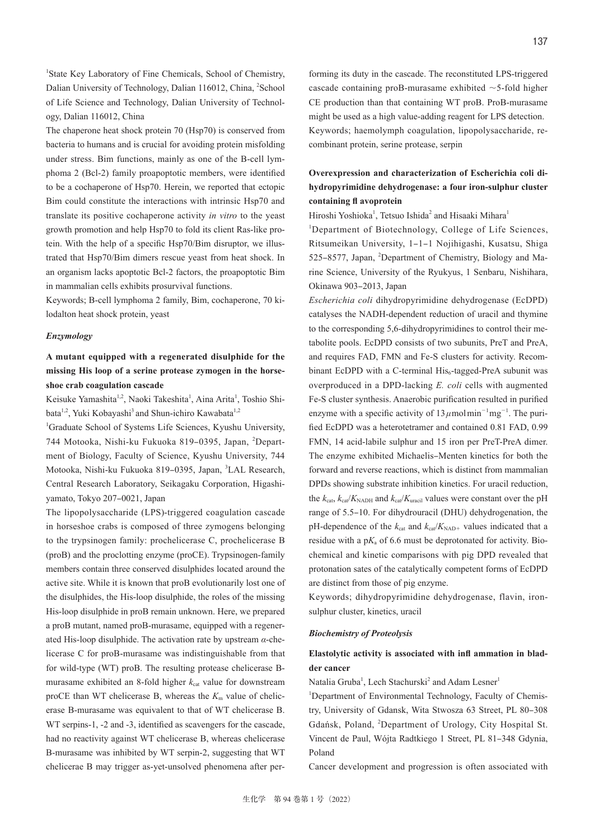<sup>1</sup>State Key Laboratory of Fine Chemicals, School of Chemistry, Dalian University of Technology, Dalian 116012, China, <sup>2</sup>School of Life Science and Technology, Dalian University of Technology, Dalian 116012, China

The chaperone heat shock protein 70 (Hsp70) is conserved from bacteria to humans and is crucial for avoiding protein misfolding under stress. Bim functions, mainly as one of the B-cell lymphoma 2 (Bcl-2) family proapoptotic members, were identified to be a cochaperone of Hsp70. Herein, we reported that ectopic Bim could constitute the interactions with intrinsic Hsp70 and translate its positive cochaperone activity *in vitro* to the yeast growth promotion and help Hsp70 to fold its client Ras-like protein. With the help of a specific Hsp70/Bim disruptor, we illustrated that Hsp70/Bim dimers rescue yeast from heat shock. In an organism lacks apoptotic Bcl-2 factors, the proapoptotic Bim in mammalian cells exhibits prosurvival functions.

Keywords; B-cell lymphoma 2 family, Bim, cochaperone, 70 kilodalton heat shock protein, yeast

#### *Enzymology*

**A mutant equipped with a regenerated disulphide for the missing His loop of a serine protease zymogen in the horseshoe crab coagulation cascade**

Keisuke Yamashita<sup>1,2</sup>, Naoki Takeshita<sup>1</sup>, Aina Arita<sup>1</sup>, Toshio Shibata<sup>1,2</sup>, Yuki Kobayashi<sup>3</sup> and Shun-ichiro Kawabata<sup>1,2</sup>

1 Graduate School of Systems Life Sciences, Kyushu University, 744 Motooka, Nishi-ku Fukuoka 819-0395, Japan, <sup>2</sup>Department of Biology, Faculty of Science, Kyushu University, 744 Motooka, Nishi-ku Fukuoka 819-0395, Japan, <sup>3</sup>LAL Research, Central Research Laboratory, Seikagaku Corporation, Higashiyamato, Tokyo 207-0021, Japan

The lipopolysaccharide (LPS)-triggered coagulation cascade in horseshoe crabs is composed of three zymogens belonging to the trypsinogen family: prochelicerase C, prochelicerase B (proB) and the proclotting enzyme (proCE). Trypsinogen-family members contain three conserved disulphides located around the active site. While it is known that proB evolutionarily lost one of the disulphides, the His-loop disulphide, the roles of the missing His-loop disulphide in proB remain unknown. Here, we prepared a proB mutant, named proB-murasame, equipped with a regenerated His-loop disulphide. The activation rate by upstream *α*-chelicerase C for proB-murasame was indistinguishable from that for wild-type (WT) proB. The resulting protease chelicerase Bmurasame exhibited an 8-fold higher  $k_{cat}$  value for downstream proCE than WT chelicerase B, whereas the  $K<sub>m</sub>$  value of chelicerase B-murasame was equivalent to that of WT chelicerase B. WT serpins-1, -2 and -3, identified as scavengers for the cascade, had no reactivity against WT chelicerase B, whereas chelicerase B-murasame was inhibited by WT serpin-2, suggesting that WT chelicerae B may trigger as-yet-unsolved phenomena after performing its duty in the cascade. The reconstituted LPS-triggered cascade containing proB-murasame exhibited ∼5-fold higher CE production than that containing WT proB. ProB-murasame might be used as a high value-adding reagent for LPS detection. Keywords; haemolymph coagulation, lipopolysaccharide, recombinant protein, serine protease, serpin

# **Overexpression and characterization of Escherichia coli dihydropyrimidine dehydrogenase: a four iron-sulphur cluster containing fl avoprotein**

Hiroshi Yoshioka<sup>1</sup>, Tetsuo Ishida<sup>2</sup> and Hisaaki Mihara<sup>1</sup>

<sup>1</sup>Department of Biotechnology, College of Life Sciences, Ritsumeikan University, 1‒1‒1 Nojihigashi, Kusatsu, Shiga 525-8577, Japan, <sup>2</sup>Department of Chemistry, Biology and Marine Science, University of the Ryukyus, 1 Senbaru, Nishihara, Okinawa 903-2013, Japan

*Escherichia coli* dihydropyrimidine dehydrogenase (EcDPD) catalyses the NADH-dependent reduction of uracil and thymine to the corresponding 5,6-dihydropyrimidines to control their metabolite pools. EcDPD consists of two subunits, PreT and PreA, and requires FAD, FMN and Fe-S clusters for activity. Recombinant EcDPD with a C-terminal  $His_{6}$ -tagged-PreA subunit was overproduced in a DPD-lacking *E. coli* cells with augmented Fe-S cluster synthesis. Anaerobic purification resulted in purified enzyme with a specific activity of 13 *μ*molmin<sup>-1</sup>mg<sup>-1</sup>. The purified EcDPD was a heterotetramer and contained 0.81 FAD, 0.99 FMN, 14 acid-labile sulphur and 15 iron per PreT-PreA dimer. The enzyme exhibited Michaelis–Menten kinetics for both the forward and reverse reactions, which is distinct from mammalian DPDs showing substrate inhibition kinetics. For uracil reduction, the  $k_{\text{cat}}$ ,  $k_{\text{cat}}/K_{\text{NADH}}$  and  $k_{\text{cat}}/K_{\text{uracil}}$  values were constant over the pH range of 5.5–10. For dihydrouracil (DHU) dehydrogenation, the pH-dependence of the  $k_{cat}$  and  $k_{cat}/K_{NAD+}$  values indicated that a residue with a  $pK_a$  of 6.6 must be deprotonated for activity. Biochemical and kinetic comparisons with pig DPD revealed that protonation sates of the catalytically competent forms of EcDPD are distinct from those of pig enzyme.

Keywords; dihydropyrimidine dehydrogenase, flavin, ironsulphur cluster, kinetics, uracil

### *Biochemistry of Proteolysis*

### **Elastolytic activity is associated with infl ammation in bladder cancer**

Natalia Gruba<sup>1</sup>, Lech Stachurski<sup>2</sup> and Adam Lesner<sup>1</sup>

<sup>1</sup>Department of Environmental Technology, Faculty of Chemistry, University of Gdansk, Wita Stwosza 63 Street, PL 80-308 Gdańsk, Poland, <sup>2</sup> Department of Urology, City Hospital St. Vincent de Paul, Wójta Radtkiego 1 Street, PL 81-348 Gdynia, Poland

Cancer development and progression is often associated with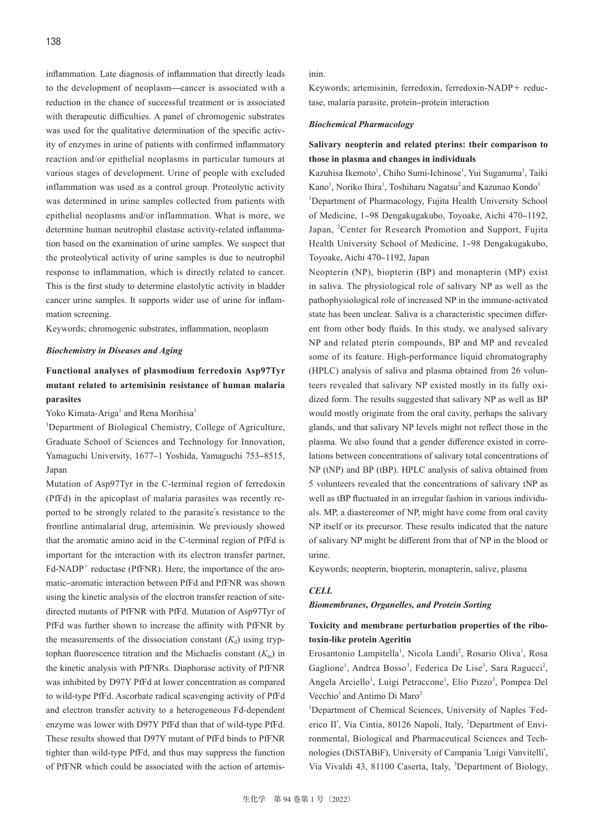inflammation. Late diagnosis of inflammation that directly leads to the development of neoplasm̶cancer is associated with a reduction in the chance of successful treatment or is associated with therapeutic difficulties. A panel of chromogenic substrates was used for the qualitative determination of the specific activity of enzymes in urine of patients with confirmed inflammatory reaction and/or epithelial neoplasms in particular tumours at various stages of development. Urine of people with excluded inflammation was used as a control group. Proteolytic activity was determined in urine samples collected from patients with epithelial neoplasms and/or inflammation. What is more, we determine human neutrophil elastase activity-related inflammation based on the examination of urine samples. We suspect that the proteolytical activity of urine samples is due to neutrophil response to inflammation, which is directly related to cancer. This is the first study to determine elastolytic activity in bladder cancer urine samples. It supports wider use of urine for inflammation screening.

Keywords; chromogenic substrates, inflammation, neoplasm

#### *Biochemistry in Diseases and Aging*

# **Functional analyses of plasmodium ferredoxin Asp97Tyr mutant related to artemisinin resistance of human malaria parasites**

Yoko Kimata-Ariga<sup>1</sup> and Rena Morihisa<sup>1</sup>

<sup>1</sup>Department of Biological Chemistry, College of Agriculture, Graduate School of Sciences and Technology for Innovation, Yamaguchi University, 1677-1 Yoshida, Yamaguchi 753-8515, Japan

Mutation of Asp97Tyr in the C-terminal region of ferredoxin (PfFd) in the apicoplast of malaria parasites was recently reported to be strongly related to the parasite's resistance to the frontline antimalarial drug, artemisinin. We previously showed that the aromatic amino acid in the C-terminal region of PfFd is important for the interaction with its electron transfer partner, Fd-NADP<sup>+</sup> reductase (PfFNR). Here, the importance of the aromatic-aromatic interaction between PfFd and PfFNR was shown using the kinetic analysis of the electron transfer reaction of sitedirected mutants of PfFNR with PfFd. Mutation of Asp97Tyr of PfFd was further shown to increase the affinity with PfFNR by the measurements of the dissociation constant  $(K_d)$  using tryptophan fluorescence titration and the Michaelis constant  $(K<sub>m</sub>)$  in the kinetic analysis with PfFNRs. Diaphorase activity of PfFNR was inhibited by D97Y PfFd at lower concentration as compared to wild-type PfFd. Ascorbate radical scavenging activity of PfFd and electron transfer activity to a heterogeneous Fd-dependent enzyme was lower with D97Y PfFd than that of wild-type PfFd. These results showed that D97Y mutant of PfFd binds to PfFNR tighter than wild-type PfFd, and thus may suppress the function of PfFNR which could be associated with the action of artemisinin.

Keywords; artemisinin, ferredoxin, ferredoxin-NADP+ reductase, malaria parasite, protein-protein interaction

#### *Biochemical Pharmacology*

### **Salivary neopterin and related pterins: their comparison to those in plasma and changes in individuals**

Kazuhisa Ikemoto<sup>1</sup>, Chiho Sumi-Ichinose<sup>1</sup>, Yui Suganuma<sup>1</sup>, Taiki Kano<sup>1</sup>, Noriko Ihira<sup>1</sup>, Toshiharu Nagatsu<sup>2</sup> and Kazunao Kondo<sup>1</sup>

<sup>1</sup>Department of Pharmacology, Fujita Health University School of Medicine, 1-98 Dengakugakubo, Toyoake, Aichi 470-1192, Japan, <sup>2</sup>Center for Research Promotion and Support, Fujita Health University School of Medicine, 1-98 Dengakugakubo, Toyoake, Aichi 470-1192, Japan

Neopterin (NP), biopterin (BP) and monapterin (MP) exist in saliva. The physiological role of salivary NP as well as the pathophysiological role of increased NP in the immune-activated state has been unclear. Saliva is a characteristic specimen different from other body fluids. In this study, we analysed salivary NP and related pterin compounds, BP and MP and revealed some of its feature. High-performance liquid chromatography (HPLC) analysis of saliva and plasma obtained from 26 volunteers revealed that salivary NP existed mostly in its fully oxidized form. The results suggested that salivary NP as well as BP would mostly originate from the oral cavity, perhaps the salivary glands, and that salivary NP levels might not reflect those in the plasma. We also found that a gender difference existed in correlations between concentrations of salivary total concentrations of NP (tNP) and BP (tBP). HPLC analysis of saliva obtained from 5 volunteers revealed that the concentrations of salivary tNP as well as tBP fluctuated in an irregular fashion in various individuals. MP, a diastereomer of NP, might have come from oral cavity NP itself or its precursor. These results indicated that the nature of salivary NP might be different from that of NP in the blood or urine.

Keywords; neopterin, biopterin, monapterin, salive, plasma

#### *CELL*

### *Biomembranes, Organelles, and Protein Sorting*

### **Toxicity and membrane perturbation properties of the ribotoxin-like protein Ageritin**

Erosantonio Lampitella<sup>1</sup>, Nicola Landi<sup>2</sup>, Rosario Oliva<sup>1</sup>, Rosa Gaglione<sup>1</sup>, Andrea Bosso<sup>3</sup>, Federica De Lise<sup>3</sup>, Sara Ragucci<sup>2</sup>, Angela Arciello<sup>1</sup>, Luigi Petraccone<sup>1</sup>, Elio Pizzo<sup>3</sup>, Pompea Del Vecchio<sup>1</sup> and Antimo Di Maro<sup>2</sup>

<sup>1</sup>Department of Chemical Sciences, University of Naples 'Federico II', Via Cintia, 80126 Napoli, Italy, <sup>2</sup>Department of Environmental, Biological and Pharmaceutical Sciences and Technologies (DiSTABiF), University of Campania ʻLuigi Vanvitelli', Via Vivaldi 43, 81100 Caserta, Italy, <sup>3</sup>Department of Biology,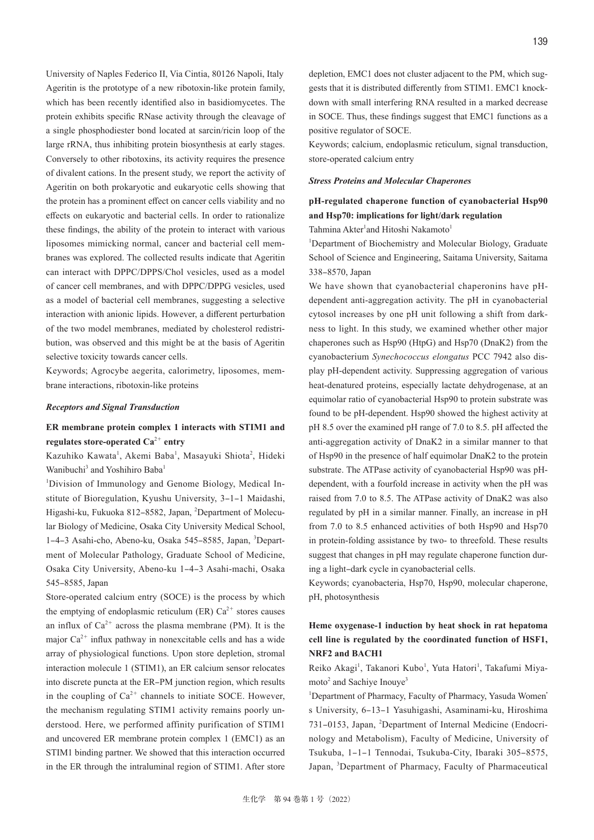University of Naples Federico II, Via Cintia, 80126 Napoli, Italy Ageritin is the prototype of a new ribotoxin-like protein family, which has been recently identified also in basidiomycetes. The protein exhibits specific RNase activity through the cleavage of a single phosphodiester bond located at sarcin/ricin loop of the large rRNA, thus inhibiting protein biosynthesis at early stages. Conversely to other ribotoxins, its activity requires the presence of divalent cations. In the present study, we report the activity of Ageritin on both prokaryotic and eukaryotic cells showing that the protein has a prominent effect on cancer cells viability and no effects on eukaryotic and bacterial cells. In order to rationalize these findings, the ability of the protein to interact with various liposomes mimicking normal, cancer and bacterial cell membranes was explored. The collected results indicate that Ageritin can interact with DPPC/DPPS/Chol vesicles, used as a model of cancer cell membranes, and with DPPC/DPPG vesicles, used as a model of bacterial cell membranes, suggesting a selective interaction with anionic lipids. However, a different perturbation of the two model membranes, mediated by cholesterol redistribution, was observed and this might be at the basis of Ageritin selective toxicity towards cancer cells.

Keywords; Agrocybe aegerita, calorimetry, liposomes, membrane interactions, ribotoxin-like proteins

#### *Receptors and Signal Transduction*

# **ER membrane protein complex 1 interacts with STIM1 and regulates store-operated Ca**<sup>2</sup><sup>+</sup> **entry**

Kazuhiko Kawata<sup>1</sup>, Akemi Baba<sup>1</sup>, Masayuki Shiota<sup>2</sup>, Hideki Wanibuchi<sup>3</sup> and Yoshihiro Baba<sup>1</sup>

<sup>1</sup>Division of Immunology and Genome Biology, Medical Institute of Bioregulation, Kyushu University, 3-1-1 Maidashi, Higashi-ku, Fukuoka 812-8582, Japan, <sup>2</sup>Department of Molecular Biology of Medicine, Osaka City University Medical School, 1-4-3 Asahi-cho, Abeno-ku, Osaka 545-8585, Japan, <sup>3</sup>Department of Molecular Pathology, Graduate School of Medicine, Osaka City University, Abeno-ku 1-4-3 Asahi-machi, Osaka 545-8585, Japan

Store-operated calcium entry (SOCE) is the process by which the emptying of endoplasmic reticulum (ER)  $Ca^{2+}$  stores causes an influx of  $Ca^{2+}$  across the plasma membrane (PM). It is the major  $Ca^{2+}$  influx pathway in nonexcitable cells and has a wide array of physiological functions. Upon store depletion, stromal interaction molecule 1 (STIM1), an ER calcium sensor relocates into discrete puncta at the ER-PM junction region, which results in the coupling of  $Ca^{2+}$  channels to initiate SOCE. However, the mechanism regulating STIM1 activity remains poorly understood. Here, we performed affinity purification of STIM1 and uncovered ER membrane protein complex 1 (EMC1) as an STIM1 binding partner. We showed that this interaction occurred in the ER through the intraluminal region of STIM1. After store

depletion, EMC1 does not cluster adjacent to the PM, which suggests that it is distributed differently from STIM1. EMC1 knockdown with small interfering RNA resulted in a marked decrease in SOCE. Thus, these findings suggest that EMC1 functions as a positive regulator of SOCE.

Keywords; calcium, endoplasmic reticulum, signal transduction, store-operated calcium entry

#### *Stress Proteins and Molecular Chaperones*

# **pH-regulated chaperone function of cyanobacterial Hsp90 and Hsp70: implications for light/dark regulation**

Tahmina Akter<sup>1</sup>and Hitoshi Nakamoto<sup>1</sup>

<sup>1</sup>Department of Biochemistry and Molecular Biology, Graduate School of Science and Engineering, Saitama University, Saitama 338‒8570, Japan

We have shown that cyanobacterial chaperonins have pHdependent anti-aggregation activity. The pH in cyanobacterial cytosol increases by one pH unit following a shift from darkness to light. In this study, we examined whether other major chaperones such as Hsp90 (HtpG) and Hsp70 (DnaK2) from the cyanobacterium *Synechococcus elongatus* PCC 7942 also display pH-dependent activity. Suppressing aggregation of various heat-denatured proteins, especially lactate dehydrogenase, at an equimolar ratio of cyanobacterial Hsp90 to protein substrate was found to be pH-dependent. Hsp90 showed the highest activity at pH 8.5 over the examined pH range of 7.0 to 8.5. pH affected the anti-aggregation activity of DnaK2 in a similar manner to that of Hsp90 in the presence of half equimolar DnaK2 to the protein substrate. The ATPase activity of cyanobacterial Hsp90 was pHdependent, with a fourfold increase in activity when the pH was raised from 7.0 to 8.5. The ATPase activity of DnaK2 was also regulated by pH in a similar manner. Finally, an increase in pH from 7.0 to 8.5 enhanced activities of both Hsp90 and Hsp70 in protein-folding assistance by two- to threefold. These results suggest that changes in pH may regulate chaperone function during a light-dark cycle in cyanobacterial cells.

Keywords; cyanobacteria, Hsp70, Hsp90, molecular chaperone, pH, photosynthesis

# **Heme oxygenase-1 induction by heat shock in rat hepatoma cell line is regulated by the coordinated function of HSF1, NRF2 and BACH1**

Reiko Akagi<sup>1</sup>, Takanori Kubo<sup>1</sup>, Yuta Hatori<sup>1</sup>, Takafumi Miyamoto<sup>2</sup> and Sachiye Inouye<sup>3</sup>

<sup>1</sup>Department of Pharmacy, Faculty of Pharmacy, Yasuda Women' s University, 6-13-1 Yasuhigashi, Asaminami-ku, Hiroshima 731-0153, Japan, <sup>2</sup>Department of Internal Medicine (Endocrinology and Metabolism), Faculty of Medicine, University of Tsukuba, 1-1-1 Tennodai, Tsukuba-City, Ibaraki 305-8575, Japan, <sup>3</sup>Department of Pharmacy, Faculty of Pharmaceutical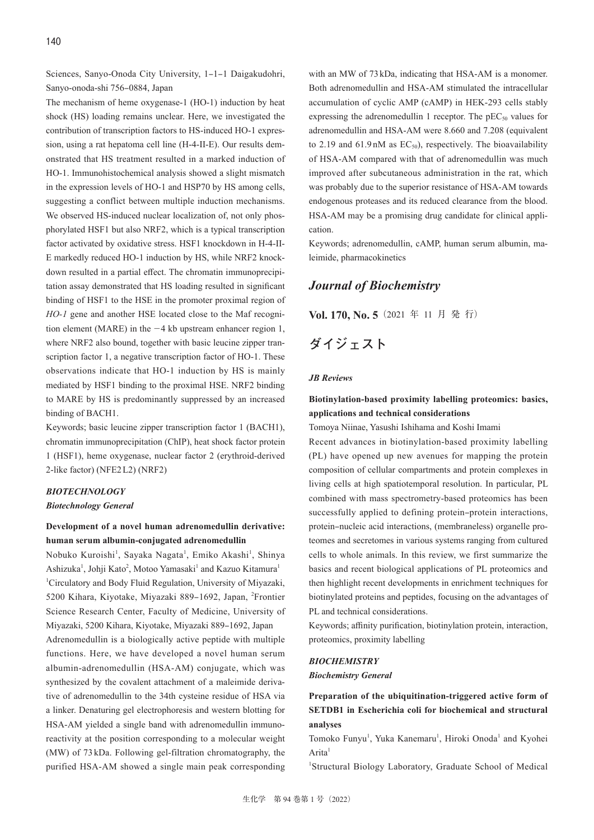Sciences, Sanyo-Onoda City University, 1-1-1 Daigakudohri, Sanyo-onoda-shi 756-0884, Japan

The mechanism of heme oxygenase-1 (HO-1) induction by heat shock (HS) loading remains unclear. Here, we investigated the contribution of transcription factors to HS-induced HO-1 expression, using a rat hepatoma cell line (H-4-II-E). Our results demonstrated that HS treatment resulted in a marked induction of HO-1. Immunohistochemical analysis showed a slight mismatch in the expression levels of HO-1 and HSP70 by HS among cells, suggesting a conflict between multiple induction mechanisms. We observed HS-induced nuclear localization of, not only phosphorylated HSF1 but also NRF2, which is a typical transcription factor activated by oxidative stress. HSF1 knockdown in H-4-II-E markedly reduced HO-1 induction by HS, while NRF2 knockdown resulted in a partial effect. The chromatin immunoprecipitation assay demonstrated that HS loading resulted in significant binding of HSF1 to the HSE in the promoter proximal region of *HO-1* gene and another HSE located close to the Maf recognition element (MARE) in the −4 kb upstream enhancer region 1, where NRF2 also bound, together with basic leucine zipper transcription factor 1, a negative transcription factor of HO-1. These observations indicate that HO-1 induction by HS is mainly mediated by HSF1 binding to the proximal HSE. NRF2 binding to MARE by HS is predominantly suppressed by an increased binding of BACH1.

Keywords; basic leucine zipper transcription factor 1 (BACH1), chromatin immunoprecipitation (ChIP), heat shock factor protein 1 (HSF1), heme oxygenase, nuclear factor 2 (erythroid-derived 2-like factor) (NFE2 L2) (NRF2)

## *BIOTECHNOLOGY*

### *Biotechnology General*

# **Development of a novel human adrenomedullin derivative: human serum albumin-conjugated adrenomedullin**

Nobuko Kuroishi<sup>1</sup>, Sayaka Nagata<sup>1</sup>, Emiko Akashi<sup>1</sup>, Shinya Ashizuka<sup>1</sup>, Johji Kato<sup>2</sup>, Motoo Yamasaki<sup>1</sup> and Kazuo Kitamura<sup>1</sup> 1 Circulatory and Body Fluid Regulation, University of Miyazaki, 5200 Kihara, Kiyotake, Miyazaki 889-1692, Japan, <sup>2</sup>Frontier Science Research Center, Faculty of Medicine, University of Miyazaki, 5200 Kihara, Kiyotake, Miyazaki 889-1692, Japan Adrenomedullin is a biologically active peptide with multiple functions. Here, we have developed a novel human serum albumin-adrenomedullin (HSA-AM) conjugate, which was synthesized by the covalent attachment of a maleimide derivative of adrenomedullin to the 34th cysteine residue of HSA via a linker. Denaturing gel electrophoresis and western blotting for HSA-AM yielded a single band with adrenomedullin immunoreactivity at the position corresponding to a molecular weight (MW) of 73 kDa. Following gel-filtration chromatography, the purified HSA-AM showed a single main peak corresponding

with an MW of 73 kDa, indicating that HSA-AM is a monomer. Both adrenomedullin and HSA-AM stimulated the intracellular accumulation of cyclic AMP (cAMP) in HEK-293 cells stably expressing the adrenomedullin 1 receptor. The  $pEC_{50}$  values for adrenomedullin and HSA-AM were 8.660 and 7.208 (equivalent to 2.19 and  $61.9 \text{ nM}$  as  $EC_{50}$ , respectively. The bioavailability of HSA-AM compared with that of adrenomedullin was much improved after subcutaneous administration in the rat, which was probably due to the superior resistance of HSA-AM towards endogenous proteases and its reduced clearance from the blood. HSA-AM may be a promising drug candidate for clinical application.

Keywords; adrenomedullin, cAMP, human serum albumin, maleimide, pharmacokinetics

# *Journal of Biochemistry*

**Vol. 170, No. 5**(2021 年 11 月 発 行)

# **ダイジェスト**

#### *JB Reviews*

# **Biotinylation-based proximity labelling proteomics: basics, applications and technical considerations**

Tomoya Niinae, Yasushi Ishihama and Koshi Imami

Recent advances in biotinylation-based proximity labelling (PL) have opened up new avenues for mapping the protein composition of cellular compartments and protein complexes in living cells at high spatiotemporal resolution. In particular, PL combined with mass spectrometry-based proteomics has been successfully applied to defining protein–protein interactions, protein-nucleic acid interactions, (membraneless) organelle proteomes and secretomes in various systems ranging from cultured cells to whole animals. In this review, we first summarize the basics and recent biological applications of PL proteomics and then highlight recent developments in enrichment techniques for biotinylated proteins and peptides, focusing on the advantages of PL and technical considerations.

Keywords; affinity purification, biotinylation protein, interaction, proteomics, proximity labelling

### *BIOCHEMISTRY*

#### *Biochemistry General*

**Preparation of the ubiquitination-triggered active form of SETDB1 in Escherichia coli for biochemical and structural analyses**

Tomoko Funyu<sup>1</sup>, Yuka Kanemaru<sup>1</sup>, Hiroki Onoda<sup>1</sup> and Kyohei  $A$ rita<sup>1</sup>

1 Structural Biology Laboratory, Graduate School of Medical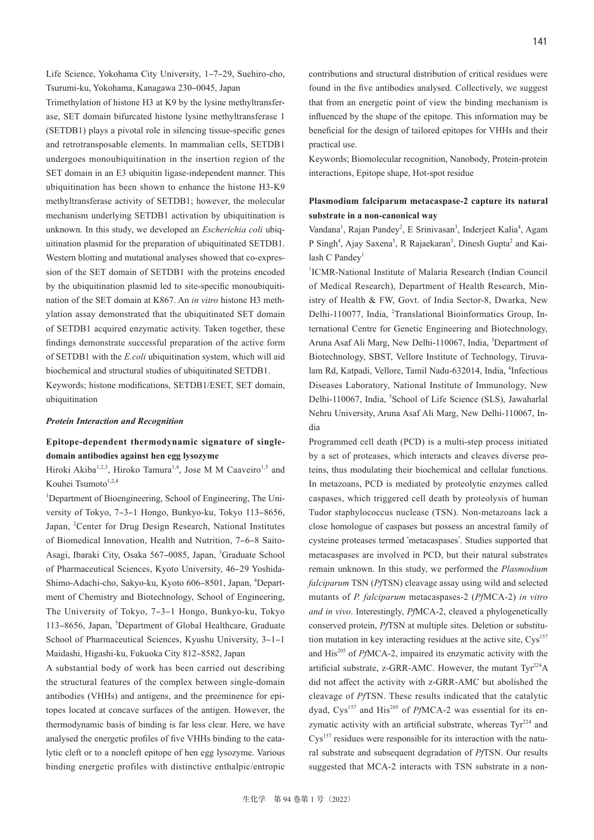Life Science, Yokohama City University, 1-7-29, Suehiro-cho, Tsurumi-ku, Yokohama, Kanagawa 230-0045, Japan

Trimethylation of histone H3 at K9 by the lysine methyltransferase, SET domain bifurcated histone lysine methyltransferase 1 (SETDB1) plays a pivotal role in silencing tissue-specific genes and retrotransposable elements. In mammalian cells, SETDB1 undergoes monoubiquitination in the insertion region of the SET domain in an E3 ubiquitin ligase-independent manner. This ubiquitination has been shown to enhance the histone H3-K9 methyltransferase activity of SETDB1; however, the molecular mechanism underlying SETDB1 activation by ubiquitination is unknown. In this study, we developed an *Escherichia coli* ubiquitination plasmid for the preparation of ubiquitinated SETDB1. Western blotting and mutational analyses showed that co-expression of the SET domain of SETDB1 with the proteins encoded by the ubiquitination plasmid led to site-specific monoubiquitination of the SET domain at K867. An *in vitro* histone H3 methylation assay demonstrated that the ubiquitinated SET domain of SETDB1 acquired enzymatic activity. Taken together, these findings demonstrate successful preparation of the active form of SETDB1 with the *E.coli* ubiquitination system, which will aid biochemical and structural studies of ubiquitinated SETDB1. Keywords; histone modifications, SETDB1/ESET, SET domain,

ubiquitination

### *Protein Interaction and Recognition*

# **Epitope-dependent thermodynamic signature of singledomain antibodies against hen egg lysozyme**

Hiroki Akiba<sup>1,2,3</sup>, Hiroko Tamura<sup>1,4</sup>, Jose M M Caaveiro<sup>1,5</sup> and Kouhei Tsumoto<sup>1,2,4</sup>

<sup>1</sup>Department of Bioengineering, School of Engineering, The University of Tokyo, 7–3–1 Hongo, Bunkyo-ku, Tokyo 113–8656, Japan, <sup>2</sup>Center for Drug Design Research, National Institutes of Biomedical Innovation, Health and Nutrition, 7-6-8 Saito-Asagi, Ibaraki City, Osaka 567-0085, Japan, <sup>3</sup>Graduate School of Pharmaceutical Sciences, Kyoto University, 46-29 Yoshida-Shimo-Adachi-cho, Sakyo-ku, Kyoto 606-8501, Japan, <sup>4</sup>Department of Chemistry and Biotechnology, School of Engineering, The University of Tokyo, 7-3-1 Hongo, Bunkyo-ku, Tokyo 113-8656, Japan, <sup>5</sup>Department of Global Healthcare, Graduate School of Pharmaceutical Sciences, Kyushu University, 3-1-1 Maidashi, Higashi-ku, Fukuoka City 812-8582, Japan

A substantial body of work has been carried out describing the structural features of the complex between single-domain antibodies (VHHs) and antigens, and the preeminence for epitopes located at concave surfaces of the antigen. However, the thermodynamic basis of binding is far less clear. Here, we have analysed the energetic profiles of five VHHs binding to the catalytic cleft or to a noncleft epitope of hen egg lysozyme. Various binding energetic profiles with distinctive enthalpic/entropic

contributions and structural distribution of critical residues were found in the five antibodies analysed. Collectively, we suggest that from an energetic point of view the binding mechanism is influenced by the shape of the epitope. This information may be beneficial for the design of tailored epitopes for VHHs and their practical use.

Keywords; Biomolecular recognition, Nanobody, Protein-protein interactions, Epitope shape, Hot-spot residue

## **Plasmodium falciparum metacaspase-2 capture its natural substrate in a non-canonical way**

Vandana<sup>1</sup>, Rajan Pandey<sup>2</sup>, E Srinivasan<sup>3</sup>, Inderjeet Kalia<sup>4</sup>, Agam P Singh<sup>4</sup>, Ajay Saxena<sup>5</sup>, R Rajaekaran<sup>3</sup>, Dinesh Gupta<sup>2</sup> and Kailash C Pandey<sup>1</sup>

<sup>1</sup>ICMR-National Institute of Malaria Research (Indian Council of Medical Research), Department of Health Research, Ministry of Health & FW, Govt. of India Sector-8, Dwarka, New Delhi-110077, India, <sup>2</sup>Translational Bioinformatics Group, International Centre for Genetic Engineering and Biotechnology, Aruna Asaf Ali Marg, New Delhi-110067, India, <sup>3</sup>Department of Biotechnology, SBST, Vellore Institute of Technology, Tiruvalam Rd, Katpadi, Vellore, Tamil Nadu-632014, India, <sup>4</sup>Infectious Diseases Laboratory, National Institute of Immunology, New Delhi-110067, India, <sup>5</sup>School of Life Science (SLS), Jawaharlal Nehru University, Aruna Asaf Ali Marg, New Delhi-110067, India

Programmed cell death (PCD) is a multi-step process initiated by a set of proteases, which interacts and cleaves diverse proteins, thus modulating their biochemical and cellular functions. In metazoans, PCD is mediated by proteolytic enzymes called caspases, which triggered cell death by proteolysis of human Tudor staphylococcus nuclease (TSN). Non-metazoans lack a close homologue of caspases but possess an ancestral family of cysteine proteases termed ʻmetacaspases'. Studies supported that metacaspases are involved in PCD, but their natural substrates remain unknown. In this study, we performed the *Plasmodium falciparum* TSN (*Pf*TSN) cleavage assay using wild and selected mutants of *P. falciparum* metacaspases-2 (*Pf*MCA-2) *in vitro and in vivo*. Interestingly, *Pf*MCA-2, cleaved a phylogenetically conserved protein, *Pf*TSN at multiple sites. Deletion or substitution mutation in key interacting residues at the active site,  $Cys<sup>157</sup>$ and His<sup>205</sup> of *PfMCA-2*, impaired its enzymatic activity with the artificial substrate, z-GRR-AMC. However, the mutant  $Tyr^{224}A$ did not affect the activity with z-GRR-AMC but abolished the cleavage of *Pf*TSN. These results indicated that the catalytic dyad, Cys<sup>157</sup> and His<sup>205</sup> of *PfMCA-2* was essential for its enzymatic activity with an artificial substrate, whereas  $Tyr^{224}$  and  $Cys<sup>157</sup>$  residues were responsible for its interaction with the natural substrate and subsequent degradation of *Pf*TSN. Our results suggested that MCA-2 interacts with TSN substrate in a non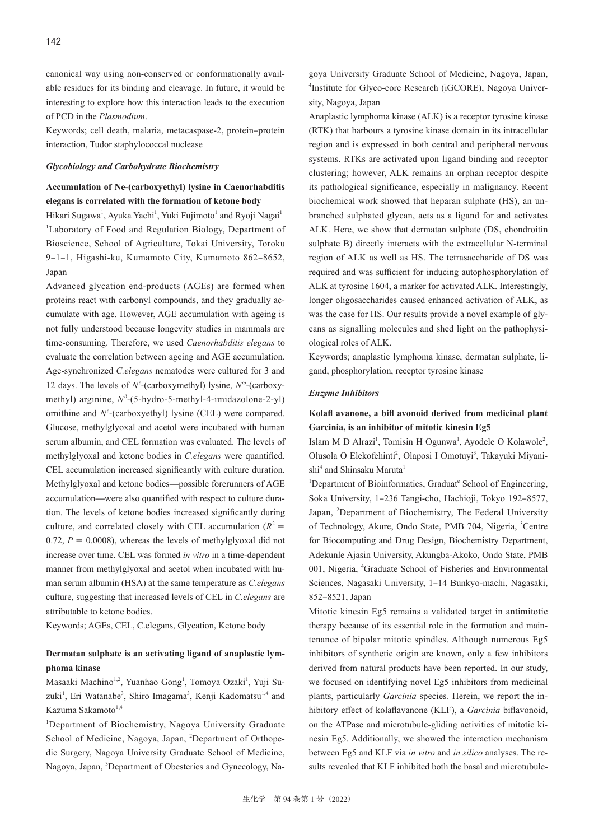canonical way using non-conserved or conformationally available residues for its binding and cleavage. In future, it would be interesting to explore how this interaction leads to the execution of PCD in the *Plasmodium*.

Keywords; cell death, malaria, metacaspase-2, protein-protein interaction, Tudor staphylococcal nuclease

#### *Glycobiology and Carbohydrate Biochemistry*

## **Accumulation of Ne-(carboxyethyl) lysine in Caenorhabditis elegans is correlated with the formation of ketone body**

Hikari Sugawa<sup>1</sup>, Ayuka Yachi<sup>1</sup>, Yuki Fujimoto<sup>1</sup> and Ryoji Nagai<sup>1</sup> <sup>1</sup>Laboratory of Food and Regulation Biology, Department of Bioscience, School of Agriculture, Tokai University, Toroku 9-1-1, Higashi-ku, Kumamoto City, Kumamoto 862-8652, Japan

Advanced glycation end-products (AGEs) are formed when proteins react with carbonyl compounds, and they gradually accumulate with age. However, AGE accumulation with ageing is not fully understood because longevity studies in mammals are time-consuming. Therefore, we used *Caenorhabditis elegans* to evaluate the correlation between ageing and AGE accumulation. Age-synchronized *C.elegans* nematodes were cultured for 3 and 12 days. The levels of *N<sup>ε</sup>*-(carboxymethyl) lysine, *N<sup>ω</sup>*-(carboxymethyl) arginine,  $N^{\delta}$ -(5-hydro-5-methyl-4-imidazolone-2-yl) ornithine and *N<sup>ε</sup>* -(carboxyethyl) lysine (CEL) were compared. Glucose, methylglyoxal and acetol were incubated with human serum albumin, and CEL formation was evaluated. The levels of methylglyoxal and ketone bodies in *C.elegans* were quantified. CEL accumulation increased significantly with culture duration. Methylglyoxal and ketone bodies—possible forerunners of AGE accumulation̶were also quantified with respect to culture duration. The levels of ketone bodies increased significantly during culture, and correlated closely with CEL accumulation  $(R^2 =$ 0.72,  $P = 0.0008$ ), whereas the levels of methylglyoxal did not increase over time. CEL was formed *in vitro* in a time-dependent manner from methylglyoxal and acetol when incubated with human serum albumin (HSA) at the same temperature as *C.elegans* culture, suggesting that increased levels of CEL in *C.elegans* are attributable to ketone bodies.

Keywords; AGEs, CEL, C.elegans, Glycation, Ketone body

### **Dermatan sulphate is an activating ligand of anaplastic lymphoma kinase**

Masaaki Machino<sup>1,2</sup>, Yuanhao Gong<sup>1</sup>, Tomoya Ozaki<sup>1</sup>, Yuji Suzuki<sup>1</sup>, Eri Watanabe<sup>3</sup>, Shiro Imagama<sup>3</sup>, Kenji Kadomatsu<sup>1,4</sup> and Kazuma Sakamoto<sup>1,4</sup>

<sup>1</sup>Department of Biochemistry, Nagoya University Graduate School of Medicine, Nagoya, Japan, <sup>2</sup>Department of Orthopedic Surgery, Nagoya University Graduate School of Medicine, Nagoya, Japan, <sup>3</sup>Department of Obesterics and Gynecology, Nagoya University Graduate School of Medicine, Nagoya, Japan, 4 Institute for Glyco-core Research (iGCORE), Nagoya University, Nagoya, Japan

Anaplastic lymphoma kinase (ALK) is a receptor tyrosine kinase (RTK) that harbours a tyrosine kinase domain in its intracellular region and is expressed in both central and peripheral nervous systems. RTKs are activated upon ligand binding and receptor clustering; however, ALK remains an orphan receptor despite its pathological significance, especially in malignancy. Recent biochemical work showed that heparan sulphate (HS), an unbranched sulphated glycan, acts as a ligand for and activates ALK. Here, we show that dermatan sulphate (DS, chondroitin sulphate B) directly interacts with the extracellular N-terminal region of ALK as well as HS. The tetrasaccharide of DS was required and was sufficient for inducing autophosphorylation of ALK at tyrosine 1604, a marker for activated ALK. Interestingly, longer oligosaccharides caused enhanced activation of ALK, as was the case for HS. Our results provide a novel example of glycans as signalling molecules and shed light on the pathophysiological roles of ALK.

Keywords; anaplastic lymphoma kinase, dermatan sulphate, ligand, phosphorylation, receptor tyrosine kinase

### *Enzyme Inhibitors*

### **Kolafl avanone, a bifl avonoid derived from medicinal plant Garcinia, is an inhibitor of mitotic kinesin Eg5**

Islam M D Alrazi<sup>1</sup>, Tomisin H Ogunwa<sup>1</sup>, Ayodele O Kolawole<sup>2</sup>, Olusola O Elekofehinti<sup>2</sup>, Olaposi I Omotuyi<sup>3</sup>, Takayuki Miyanishi<sup>4</sup> and Shinsaku Maruta<sup>1</sup>

<sup>1</sup>Department of Bioinformatics, Graduat<sup>e</sup> School of Engineering, Soka University, 1-236 Tangi-cho, Hachioji, Tokyo 192-8577, Japan, <sup>2</sup>Department of Biochemistry, The Federal University of Technology, Akure, Ondo State, PMB 704, Nigeria, <sup>3</sup>Centre for Biocomputing and Drug Design, Biochemistry Department, Adekunle Ajasin University, Akungba-Akoko, Ondo State, PMB 001, Nigeria, <sup>4</sup> Graduate School of Fisheries and Environmental Sciences, Nagasaki University, 1-14 Bunkyo-machi, Nagasaki, 852‒8521, Japan

Mitotic kinesin Eg5 remains a validated target in antimitotic therapy because of its essential role in the formation and maintenance of bipolar mitotic spindles. Although numerous Eg5 inhibitors of synthetic origin are known, only a few inhibitors derived from natural products have been reported. In our study, we focused on identifying novel Eg5 inhibitors from medicinal plants, particularly *Garcinia* species. Herein, we report the inhibitory effect of kolaflavanone (KLF), a *Garcinia* biflavonoid, on the ATPase and microtubule-gliding activities of mitotic kinesin Eg5. Additionally, we showed the interaction mechanism between Eg5 and KLF via *in vitro* and *in silico* analyses. The results revealed that KLF inhibited both the basal and microtubule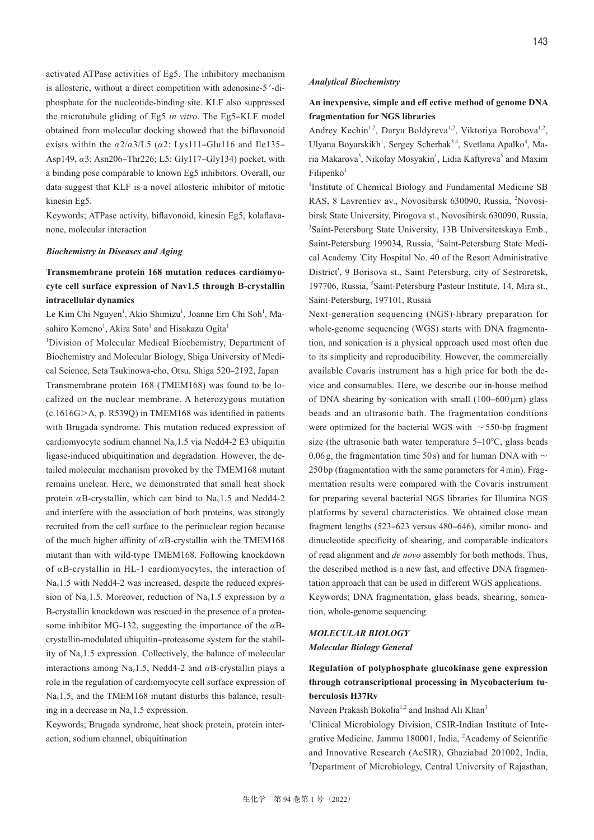activated ATPase activities of Eg5. The inhibitory mechanism is allosteric, without a direct competition with adenosine-5 ′-diphosphate for the nucleotide-binding site. KLF also suppressed the microtubule gliding of Eg5 *in vitro*. The Eg5–KLF model obtained from molecular docking showed that the biflavonoid exists within the  $\alpha$ 2/ $\alpha$ 3/L5 ( $\alpha$ 2: Lys111–Glu116 and Ile135– Asp149, *α*3: Asn206‒Thr226; L5: Gly117‒Gly134) pocket, with a binding pose comparable to known Eg5 inhibitors. Overall, our data suggest that KLF is a novel allosteric inhibitor of mitotic kinesin Eg5.

Keywords; ATPase activity, biflavonoid, kinesin Eg5, kolaflavanone, molecular interaction

#### *Biochemistry in Diseases and Aging*

# **Transmembrane protein 168 mutation reduces cardiomyocyte cell surface expression of Nav1.5 through B-crystallin intracellular dynamics**

Le Kim Chi Nguyen<sup>1</sup>, Akio Shimizu<sup>1</sup>, Joanne Ern Chi Soh<sup>1</sup>, Masahiro Komeno<sup>1</sup>, Akira Sato<sup>1</sup> and Hisakazu Ogita<sup>1</sup>

<sup>1</sup>Division of Molecular Medical Biochemistry, Department of Biochemistry and Molecular Biology, Shiga University of Medical Science, Seta Tsukinowa-cho, Otsu, Shiga 520-2192, Japan Transmembrane protein 168 (TMEM168) was found to be localized on the nuclear membrane. A heterozygous mutation (c.1616G>A, p. R539Q) in TMEM168 was identified in patients with Brugada syndrome. This mutation reduced expression of cardiomyocyte sodium channel Nav1.5 via Nedd4-2 E3 ubiquitin ligase-induced ubiquitination and degradation. However, the detailed molecular mechanism provoked by the TMEM168 mutant remains unclear. Here, we demonstrated that small heat shock protein  $\alpha$ B-crystallin, which can bind to Na<sub>v</sub>1.5 and Nedd4-2 and interfere with the association of both proteins, was strongly recruited from the cell surface to the perinuclear region because of the much higher affinity of *α*B-crystallin with the TMEM168 mutant than with wild-type TMEM168. Following knockdown of *α*B-crystallin in HL-1 cardiomyocytes, the interaction of Nav1.5 with Nedd4-2 was increased, despite the reduced expression of Nav1.5. Moreover, reduction of Nav1.5 expression by *α* B-crystallin knockdown was rescued in the presence of a proteasome inhibitor MG-132, suggesting the importance of the *α*Bcrystallin-modulated ubiquitin-proteasome system for the stability of Nav1.5 expression. Collectively, the balance of molecular interactions among Nav1.5, Nedd4-2 and *α*B-crystallin plays a role in the regulation of cardiomyocyte cell surface expression of Na<sub>v</sub>1.5, and the TMEM168 mutant disturbs this balance, resulting in a decrease in  $Na<sub>v</sub>1.5$  expression.

Keywords; Brugada syndrome, heat shock protein, protein interaction, sodium channel, ubiquitination

#### *Analytical Biochemistry*

# **An inexpensive, simple and eff ective method of genome DNA fragmentation for NGS libraries**

Andrey Kechin<sup>1,2</sup>, Darya Boldyreva<sup>1,2</sup>, Viktoriya Borobova<sup>1,2</sup>, Ulyana Boyarskikh<sup>1</sup>, Sergey Scherbak<sup>3,4</sup>, Svetlana Apalko<sup>4</sup>, Maria Makarova<sup>5</sup>, Nikolay Mosyakin<sup>1</sup>, Lidia Kaftyreva<sup>5</sup> and Maxim  $Filipenko<sup>1</sup>$ 

<sup>1</sup>Institute of Chemical Biology and Fundamental Medicine SB RAS, 8 Lavrentiev av., Novosibirsk 630090, Russia, <sup>2</sup> Novosibirsk State University, Pirogova st., Novosibirsk 630090, Russia, 3 Saint-Petersburg State University, 13B Universitetskaya Emb., Saint-Petersburg 199034, Russia, <sup>4</sup>Saint-Petersburg State Medical Academy ʻCity Hospital No. 40 of the Resort Administrative District', 9 Borisova st., Saint Petersburg, city of Sestroretsk, 197706, Russia, <sup>5</sup>Saint-Petersburg Pasteur Institute, 14, Mira st., Saint-Petersburg, 197101, Russia

Next-generation sequencing (NGS)-library preparation for whole-genome sequencing (WGS) starts with DNA fragmentation, and sonication is a physical approach used most often due to its simplicity and reproducibility. However, the commercially available Covaris instrument has a high price for both the device and consumables. Here, we describe our in-house method of DNA shearing by sonication with small  $(100-600 \,\mu m)$  glass beads and an ultrasonic bath. The fragmentation conditions were optimized for the bacterial WGS with ∼550-bp fragment size (the ultrasonic bath water temperature  $5-10^{\circ}$ C, glass beads 0.06 g, the fragmentation time 50 s) and for human DNA with ∼ 250 bp (fragmentation with the same parameters for 4 min). Fragmentation results were compared with the Covaris instrument for preparing several bacterial NGS libraries for Illumina NGS platforms by several characteristics. We obtained close mean fragment lengths (523–623 versus 480–646), similar mono- and dinucleotide specificity of shearing, and comparable indicators of read alignment and *de novo* assembly for both methods. Thus, the described method is a new fast, and effective DNA fragmentation approach that can be used in different WGS applications. Keywords; DNA fragmentation, glass beads, shearing, sonication, whole-genome sequencing

### *MOLECULAR BIOLOGY Molecular Biology General*

# **Regulation of polyphosphate glucokinase gene expression through cotranscriptional processing in Mycobacterium tuberculosis H37Rv**

Naveen Prakash Bokolia<sup>1,2</sup> and Inshad Ali Khan<sup>3</sup>

<sup>1</sup>Clinical Microbiology Division, CSIR-Indian Institute of Integrative Medicine, Jammu 180001, India, <sup>2</sup>Academy of Scientific and Innovative Research (AcSIR), Ghaziabad 201002, India, <sup>3</sup>Department of Microbiology, Central University of Rajasthan,